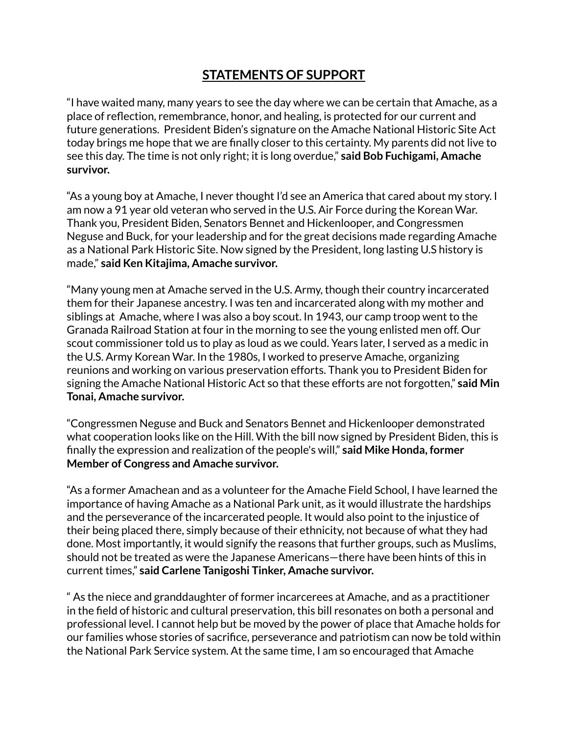## **STATEMENTS OF SUPPORT**

"I have waited many, many years to see the day where we can be certain that Amache, as a place of reflection, remembrance, honor, and healing, is protected for our current and future generations. President Biden's signature on the Amache National Historic Site Act today brings me hope that we are finally closer to this certainty. My parents did not live to see this day. The time is not only right; it is long overdue," **said Bob Fuchigami, Amache survivor.**

"As a young boy at Amache, I never thought I'd see an America that cared about my story. I am now a 91 year old veteran who served in the U.S. Air Force during the Korean War. Thank you, President Biden, Senators Bennet and Hickenlooper, and Congressmen Neguse and Buck, for your leadership and for the great decisions made regarding Amache as a National Park Historic Site. Now signed by the President, long lasting U.S history is made," **said Ken Kitajima, Amache survivor.**

"Many young men at Amache served in the U.S. Army, though their country incarcerated them for their Japanese ancestry. I was ten and incarcerated along with my mother and siblings at Amache, where I was also a boy scout. In 1943, our camp troop went to the Granada Railroad Station at four in the morning to see the young enlisted men off. Our scout commissioner told us to play as loud as we could. Years later, I served as a medic in the U.S. Army Korean War. In the 1980s, I worked to preserve Amache, organizing reunions and working on various preservation efforts. Thank you to President Biden for signing the Amache National Historic Act so that these efforts are not forgotten," **said Min Tonai, Amache survivor.**

"Congressmen Neguse and Buck and Senators Bennet and Hickenlooper demonstrated what cooperation looks like on the Hill. With the bill now signed by President Biden, this is finally the expression and realization of the people's will," **said Mike Honda, former Member of Congress and Amache survivor.**

"As a former Amachean and as a volunteer for the Amache Field School, I have learned the importance of having Amache as a National Park unit, as it would illustrate the hardships and the perseverance of the incarcerated people. It would also point to the injustice of their being placed there, simply because of their ethnicity, not because of what they had done. Most importantly, it would signify the reasons that further groups, such as Muslims, should not be treated as were the Japanese Americans—there have been hints of this in current times," **said Carlene Tanigoshi Tinker, Amache survivor.**

" As the niece and granddaughter of former incarcerees at Amache, and as a practitioner in the field of historic and cultural preservation, this bill resonates on both a personal and professional level. I cannot help but be moved by the power of place that Amache holds for our families whose stories of sacrifice, perseverance and patriotism can now be told within the National Park Service system. At the same time, I am so encouraged that Amache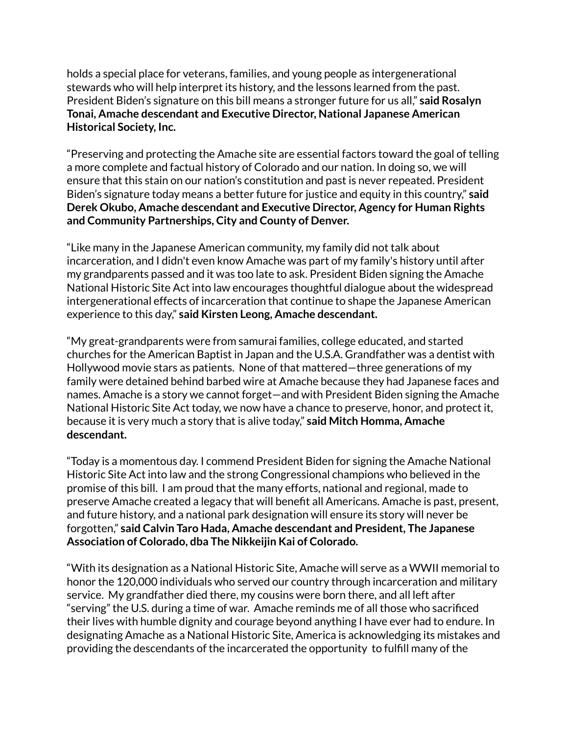holds a special place for veterans, families, and young people as intergenerational stewards who will help interpret its history, and the lessons learned from the past. President Biden's signature on this bill means a stronger future for us all," **said Rosalyn Tonai, Amache descendant and Executive Director, National Japanese American Historical Society, Inc.**

"Preserving and protecting the Amache site are essential factors toward the goal of telling a more complete and factual history of Colorado and our nation. In doing so, we will ensure that this stain on our nation's constitution and past is never repeated. President Biden's signature today means a better future for justice and equity in this country," **said Derek Okubo, Amache descendant and Executive Director, Agency for Human Rights and Community Partnerships, City and County of Denver.**

"Like many in the Japanese American community, my family did not talk about incarceration, and I didn't even know Amache was part of my family's history until after my grandparents passed and it was too late to ask. President Biden signing the Amache National Historic Site Act into law encourages thoughtful dialogue about the widespread intergenerational effects of incarceration that continue to shape the Japanese American experience to this day," **said Kirsten Leong, Amache descendant.**

"My great-grandparents were from samurai families, college educated, and started churches for the American Baptist in Japan and the U.S.A. Grandfather was a dentist with Hollywood movie stars as patients. None of that mattered—three generations of my family were detained behind barbed wire at Amache because they had Japanese faces and names. Amache is a story we cannot forget—and with President Biden signing the Amache National Historic Site Act today, we now have a chance to preserve, honor, and protect it, because it is very much a story that is alive today," **said Mitch Homma, Amache descendant.**

"Today is a momentous day. I commend President Biden for signing the Amache National Historic Site Act into law and the strong Congressional champions who believed in the promise of this bill. I am proud that the many efforts, national and regional, made to preserve Amache created a legacy that will benefit all Americans. Amache is past, present, and future history, and a national park designation will ensure its story will never be forgotten," **said Calvin Taro Hada, Amache descendant and President, The Japanese Association of Colorado, dba The Nikkeijin Kai of Colorado.**

"With its designation as a National Historic Site, Amache will serve as a WWII memorial to honor the 120,000 individuals who served our country through incarceration and military service. My grandfather died there, my cousins were born there, and all left after "serving" the U.S. during a time of war. Amache reminds me of all those who sacrificed their lives with humble dignity and courage beyond anything I have ever had to endure. In designating Amache as a National Historic Site, America is acknowledging its mistakes and providing the descendants of the incarcerated the opportunity to fulfill many of the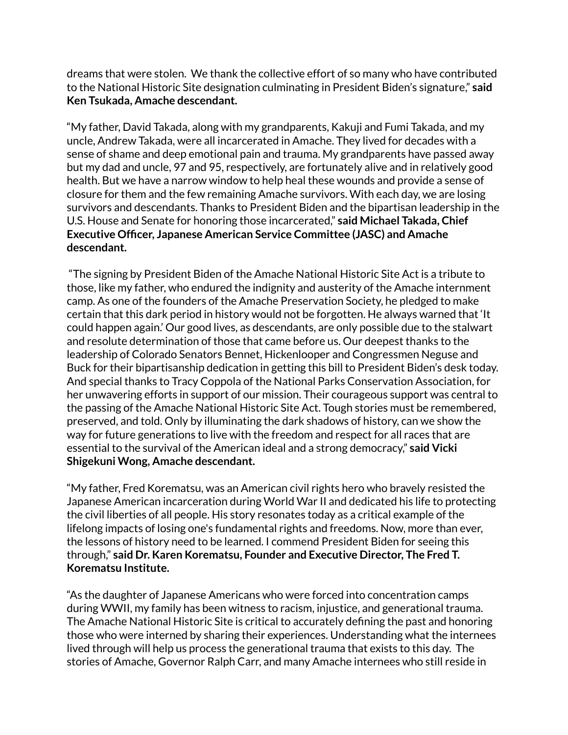dreams that were stolen. We thank the collective effort of so many who have contributed to the National Historic Site designation culminating in President Biden's signature," **said Ken Tsukada, Amache descendant.**

"My father, David Takada, along with my grandparents, Kakuji and Fumi Takada, and my uncle, Andrew Takada, were all incarcerated in Amache. They lived for decades with a sense of shame and deep emotional pain and trauma. My grandparents have passed away but my dad and uncle, 97 and 95, respectively, are fortunately alive and in relatively good health. But we have a narrow window to help heal these wounds and provide a sense of closure for them and the few remaining Amache survivors. With each day, we are losing survivors and descendants. Thanks to President Biden and the bipartisan leadership in the U.S. House and Senate for honoring those incarcerated," **said Michael Takada, Chief Executive Officer, Japanese American Service Committee (JASC) and Amache descendant.**

"The signing by President Biden of the Amache National Historic Site Act is a tribute to those, like my father, who endured the indignity and austerity of the Amache internment camp. As one of the founders of the Amache Preservation Society, he pledged to make certain that this dark period in history would not be forgotten. He always warned that 'It could happen again.' Our good lives, as descendants, are only possible due to the stalwart and resolute determination of those that came before us. Our deepest thanks to the leadership of Colorado Senators Bennet, Hickenlooper and Congressmen Neguse and Buck for their bipartisanship dedication in getting this bill to President Biden's desk today. And special thanks to Tracy Coppola of the National Parks Conservation Association, for her unwavering efforts in support of our mission. Their courageous support was central to the passing of the Amache National Historic Site Act. Tough stories must be remembered, preserved, and told. Only by illuminating the dark shadows of history, can we show the way for future generations to live with the freedom and respect for all races that are essential to the survival of the American ideal and a strong democracy," **said Vicki Shigekuni Wong, Amache descendant.**

"My father, Fred Korematsu, was an American civil rights hero who bravely resisted the Japanese American incarceration during World War II and dedicated his life to protecting the civil liberties of all people. His story resonates today as a critical example of the lifelong impacts of losing one's fundamental rights and freedoms. Now, more than ever, the lessons of history need to be learned. I commend President Biden for seeing this through," **said Dr. Karen Korematsu, Founder and Executive Director, The Fred T. Korematsu Institute.**

"As the daughter of Japanese Americans who were forced into concentration camps during WWII, my family has been witness to racism, injustice, and generational trauma. The Amache National Historic Site is critical to accurately defining the past and honoring those who were interned by sharing their experiences. Understanding what the internees lived through will help us process the generational trauma that exists to this day. The stories of Amache, Governor Ralph Carr, and many Amache internees who still reside in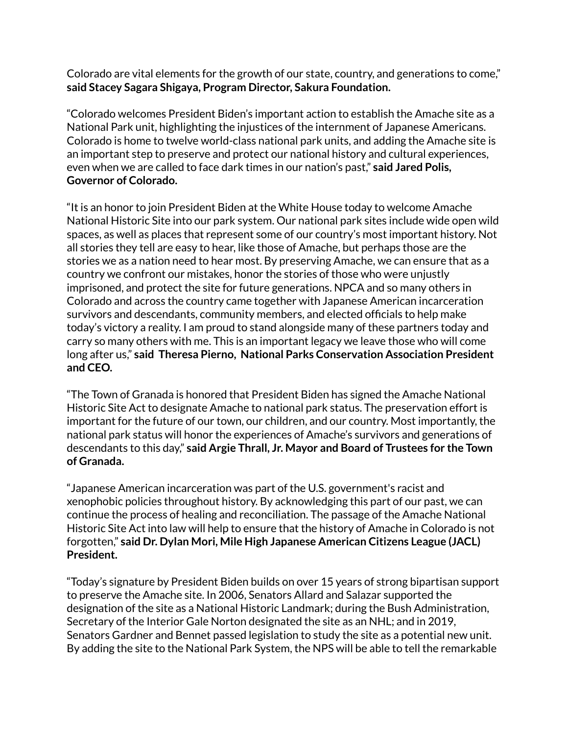Colorado are vital elements for the growth of our state, country, and generations to come," **said Stacey Sagara Shigaya, Program Director, Sakura Foundation.**

"Colorado welcomes President Biden's important action to establish the Amache site as a National Park unit, highlighting the injustices of the internment of Japanese Americans. Colorado is home to twelve world-class national park units, and adding the Amache site is an important step to preserve and protect our national history and cultural experiences, even when we are called to face dark times in our nation's past," **said Jared Polis, Governor of Colorado.**

"It is an honor to join President Biden at the White House today to welcome Amache National Historic Site into our park system. Our national park sites include wide open wild spaces, as well as places that represent some of our country's most important history. Not all stories they tell are easy to hear, like those of Amache, but perhaps those are the stories we as a nation need to hear most. By preserving Amache, we can ensure that as a country we confront our mistakes, honor the stories of those who were unjustly imprisoned, and protect the site for future generations. NPCA and so many others in Colorado and across the country came together with Japanese American incarceration survivors and descendants, community members, and elected officials to help make today's victory a reality. I am proud to stand alongside many of these partners today and carry so many others with me. This is an important legacy we leave those who will come long after us," **said Theresa Pierno, National Parks Conservation Association President and CEO.**

"The Town of Granada is honored that President Biden has signed the Amache National Historic Site Act to designate Amache to national park status. The preservation effort is important for the future of our town, our children, and our country. Most importantly, the national park status will honor the experiences of Amache's survivors and generations of descendants to this day," **said Argie Thrall, Jr. Mayor and Board of Trustees for the Town of Granada.**

"Japanese American incarceration was part of the U.S. government's racist and xenophobic policies throughout history. By acknowledging this part of our past, we can continue the process of healing and reconciliation. The passage of the Amache National Historic Site Act into law will help to ensure that the history of Amache in Colorado is not forgotten," **said Dr. Dylan Mori, Mile High Japanese American Citizens League (JACL) President.**

"Today's signature by President Biden builds on over 15 years of strong bipartisan support to preserve the Amache site. In 2006, Senators Allard and Salazar supported the designation of the site as a National Historic Landmark; during the Bush Administration, Secretary of the Interior Gale Norton designated the site as an NHL; and in 2019, Senators Gardner and Bennet passed legislation to study the site as a potential new unit. By adding the site to the National Park System, the NPS will be able to tell the remarkable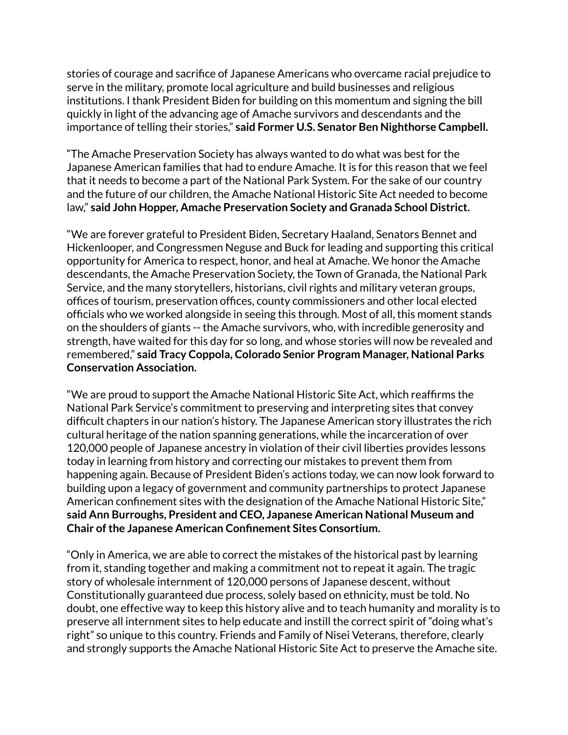stories of courage and sacrifice of Japanese Americans who overcame racial prejudice to serve in the military, promote local agriculture and build businesses and religious institutions. I thank President Biden for building on this momentum and signing the bill quickly in light of the advancing age of Amache survivors and descendants and the importance of telling their stories," **said Former U.S. Senator Ben Nighthorse Campbell.**

"The Amache Preservation Society has always wanted to do what was best for the Japanese American families that had to endure Amache. It is for this reason that we feel that it needs to become a part of the National Park System. For the sake of our country and the future of our children, the Amache National Historic Site Act needed to become law," **said John Hopper, Amache Preservation Society and Granada School District.**

"We are forever grateful to President Biden, Secretary Haaland, Senators Bennet and Hickenlooper, and Congressmen Neguse and Buck for leading and supporting this critical opportunity for America to respect, honor, and heal at Amache. We honor the Amache descendants, the Amache Preservation Society, the Town of Granada, the National Park Service, and the many storytellers, historians, civil rights and military veteran groups, offices of tourism, preservation offices, county commissioners and other local elected officials who we worked alongside in seeing this through. Most of all, this moment stands on the shoulders of giants -- the Amache survivors, who, with incredible generosity and strength, have waited for this day for so long, and whose stories will now be revealed and remembered," **said Tracy Coppola, Colorado Senior Program Manager, National Parks Conservation Association.**

"We are proud to support the Amache National Historic Site Act, which reaffirms the National Park Service's commitment to preserving and interpreting sites that convey difficult chapters in our nation's history. The Japanese American story illustrates the rich cultural heritage of the nation spanning generations, while the incarceration of over 120,000 people of Japanese ancestry in violation of their civil liberties provides lessons today in learning from history and correcting our mistakes to prevent them from happening again. Because of President Biden's actions today, we can now look forward to building upon a legacy of government and community partnerships to protect Japanese American confinement sites with the designation of the Amache National Historic Site," **said Ann Burroughs, President and CEO, Japanese American National Museum and Chair ofthe Japanese American Confinement Sites Consortium.**

"Only in America, we are able to correct the mistakes of the historical past by learning from it, standing together and making a commitment not to repeat it again. The tragic story of wholesale internment of 120,000 persons of Japanese descent, without Constitutionally guaranteed due process, solely based on ethnicity, must be told. No doubt, one effective way to keep this history alive and to teach humanity and morality is to preserve all internment sites to help educate and instill the correct spirit of "doing what's right" so unique to this country. Friends and Family of Nisei Veterans, therefore, clearly and strongly supports the Amache National Historic Site Act to preserve the Amache site.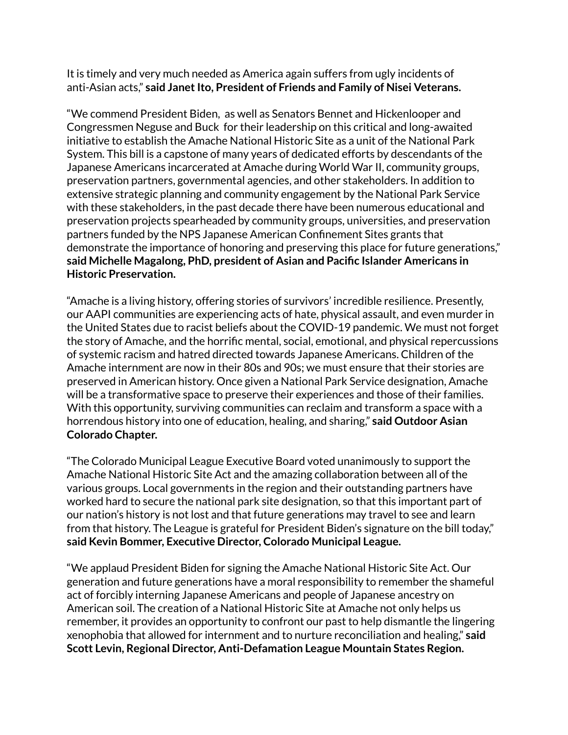It is timely and very much needed as America again suffers from ugly incidents of anti-Asian acts," **said JanetIto, President of Friends and Family of Nisei Veterans.**

"We commend President Biden, as well as Senators Bennet and Hickenlooper and Congressmen Neguse and Buck for their leadership on this critical and long-awaited initiative to establish the Amache National Historic Site as a unit of the National Park System. This bill is a capstone of many years of dedicated efforts by descendants of the Japanese Americans incarcerated at Amache during World War II, community groups, preservation partners, governmental agencies, and other stakeholders. In addition to extensive strategic planning and community engagement by the National Park Service with these stakeholders, in the past decade there have been numerous educational and preservation projects spearheaded by community groups, universities, and preservation partners funded by the NPS Japanese American Confinement Sites grants that demonstrate the importance of honoring and preserving this place for future generations," **said Michelle Magalong, PhD, president of Asian and Pacific Islander Americans in Historic Preservation.**

"Amache is a living history, offering stories of survivors' incredible resilience. Presently, our AAPI communities are experiencing acts of hate, physical assault, and even murder in the United States due to racist beliefs about the COVID-19 pandemic. We must not forget the story of Amache, and the horrific mental, social, emotional, and physical repercussions of systemic racism and hatred directed towards Japanese Americans. Children of the Amache internment are now in their 80s and 90s; we must ensure that their stories are preserved in American history. Once given a National Park Service designation, Amache will be a transformative space to preserve their experiences and those of their families. With this opportunity, surviving communities can reclaim and transform a space with a horrendous history into one of education, healing, and sharing," **said Outdoor Asian Colorado Chapter.**

"The Colorado Municipal League Executive Board voted unanimously to support the Amache National Historic Site Act and the amazing collaboration between all of the various groups. Local governments in the region and their outstanding partners have worked hard to secure the national park site designation, so that this important part of our nation's history is not lost and that future generations may travel to see and learn from that history. The League is grateful for President Biden's signature on the bill today," **said Kevin Bommer, Executive Director, Colorado Municipal League.**

"We applaud President Biden for signing the Amache National Historic Site Act. Our generation and future generations have a moral responsibility to remember the shameful act of forcibly interning Japanese Americans and people of Japanese ancestry on American soil. The creation of a National Historic Site at Amache not only helps us remember, it provides an opportunity to confront our past to help dismantle the lingering xenophobia that allowed for internment and to nurture reconciliation and healing," **said Scott Levin, Regional Director, Anti-Defamation League Mountain States Region.**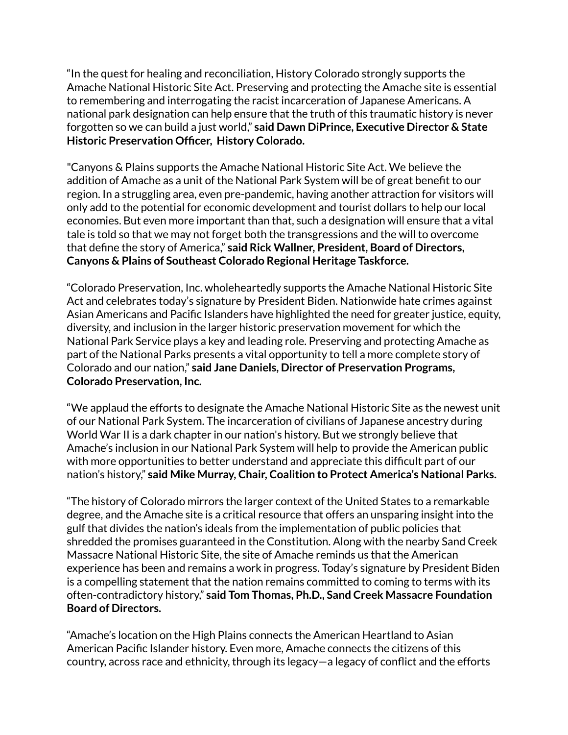"In the quest for healing and reconciliation, History Colorado strongly supports the Amache National Historic Site Act. Preserving and protecting the Amache site is essential to remembering and interrogating the racist incarceration of Japanese Americans. A national park designation can help ensure that the truth of this traumatic history is never forgotten so we can build a just world," **said Dawn DiPrince, Executive Director & State Historic Preservation Officer, History Colorado.**

"Canyons & Plains supports the Amache National Historic Site Act. We believe the addition of Amache as a unit of the National Park System will be of great benefit to our region. In a struggling area, even pre-pandemic, having another attraction for visitors will only add to the potential for economic development and tourist dollars to help our local economies. But even more important than that, such a designation will ensure that a vital tale is told so that we may not forget both the transgressions and the will to overcome that define the story of America," **said Rick Wallner, President, Board of Directors, Canyons & Plains of Southeast Colorado Regional Heritage Taskforce.**

"Colorado Preservation, Inc. wholeheartedly supports the Amache National Historic Site Act and celebrates today's signature by President Biden. Nationwide hate crimes against Asian Americans and Pacific Islanders have highlighted the need for greater justice, equity, diversity, and inclusion in the larger historic preservation movement for which the National Park Service plays a key and leading role. Preserving and protecting Amache as part of the National Parks presents a vital opportunity to tell a more complete story of Colorado and our nation," **said Jane Daniels, Director of Preservation Programs, Colorado Preservation, Inc.**

"We applaud the efforts to designate the Amache National Historic Site as the newest unit of our National Park System. The incarceration of civilians of Japanese ancestry during World War II is a dark chapter in our nation's history. But we strongly believe that Amache's inclusion in our National Park System will help to provide the American public with more opportunities to better understand and appreciate this difficult part of our nation's history," **said Mike Murray, Chair, Coalition to Protect America's National Parks.**

"The history of Colorado mirrors the larger context of the United States to a remarkable degree, and the Amache site is a critical resource that offers an unsparing insight into the gulf that divides the nation's ideals from the implementation of public policies that shredded the promises guaranteed in the Constitution. Along with the nearby Sand Creek Massacre National Historic Site, the site of Amache reminds us that the American experience has been and remains a work in progress. Today's signature by President Biden is a compelling statement that the nation remains committed to coming to terms with its often-contradictory history," **said Tom Thomas, Ph.D., Sand Creek Massacre Foundation Board of Directors.**

"Amache's location on the High Plains connects the American Heartland to Asian American Pacific Islander history. Even more, Amache connects the citizens of this country, across race and ethnicity, through its legacy—a legacy of conflict and the efforts